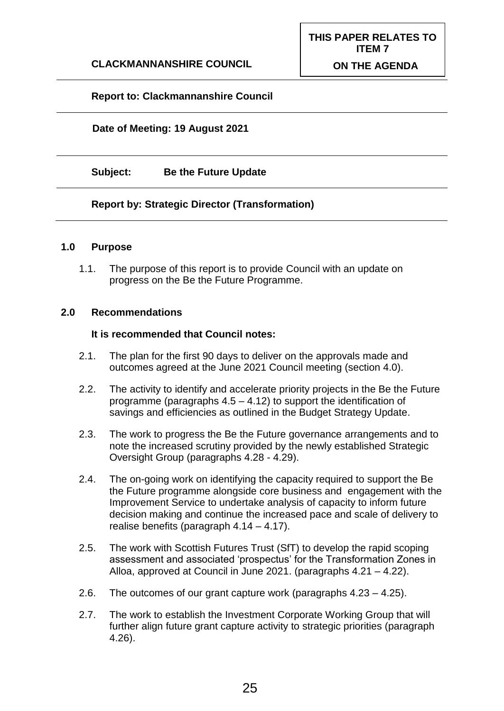# **Report to: Clackmannanshire Council**

#### **Date of Meeting: 19 August 2021**

**Subject: Be the Future Update**

#### **Report by: Strategic Director (Transformation)**

#### **1.0 Purpose**

1.1. The purpose of this report is to provide Council with an update on progress on the Be the Future Programme.

#### **2.0 Recommendations**

#### **It is recommended that Council notes:**

- 2.1. The plan for the first 90 days to deliver on the approvals made and outcomes agreed at the June 2021 Council meeting (section 4.0).
- 2.2. The activity to identify and accelerate priority projects in the Be the Future programme (paragraphs 4.5 – 4.12) to support the identification of savings and efficiencies as outlined in the Budget Strategy Update.
- 2.3. The work to progress the Be the Future governance arrangements and to note the increased scrutiny provided by the newly established Strategic Oversight Group (paragraphs 4.28 - 4.29).
- 2.4. The on-going work on identifying the capacity required to support the Be the Future programme alongside core business and engagement with the Improvement Service to undertake analysis of capacity to inform future decision making and continue the increased pace and scale of delivery to realise benefits (paragraph 4.14 – 4.17).
- 2.5. The work with Scottish Futures Trust (SfT) to develop the rapid scoping assessment and associated 'prospectus' for the Transformation Zones in Alloa, approved at Council in June 2021. (paragraphs 4.21 – 4.22).
- 2.6. The outcomes of our grant capture work (paragraphs 4.23 4.25).
- 2.7. The work to establish the Investment Corporate Working Group that will further align future grant capture activity to strategic priorities (paragraph 4.26).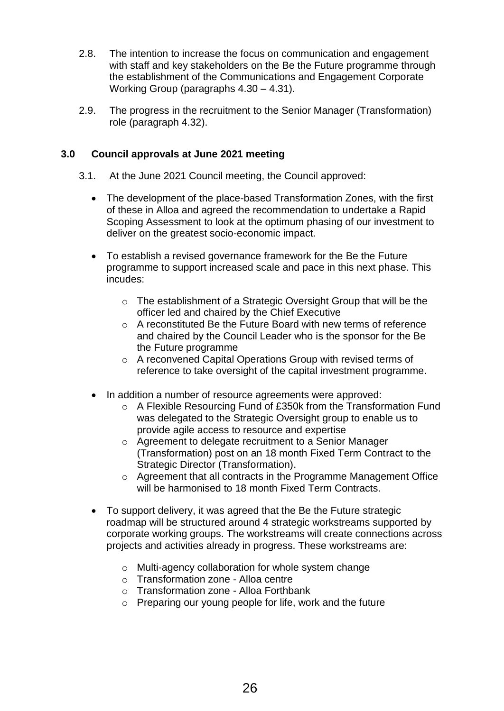- 2.8. The intention to increase the focus on communication and engagement with staff and key stakeholders on the Be the Future programme through the establishment of the Communications and Engagement Corporate Working Group (paragraphs 4.30 – 4.31).
- 2.9. The progress in the recruitment to the Senior Manager (Transformation) role (paragraph 4.32).

# **3.0 Council approvals at June 2021 meeting**

- 3.1. At the June 2021 Council meeting, the Council approved:
	- The development of the place-based Transformation Zones, with the first of these in Alloa and agreed the recommendation to undertake a Rapid Scoping Assessment to look at the optimum phasing of our investment to deliver on the greatest socio-economic impact.
	- To establish a revised governance framework for the Be the Future programme to support increased scale and pace in this next phase. This incudes:
		- o The establishment of a Strategic Oversight Group that will be the officer led and chaired by the Chief Executive
		- o A reconstituted Be the Future Board with new terms of reference and chaired by the Council Leader who is the sponsor for the Be the Future programme
		- o A reconvened Capital Operations Group with revised terms of reference to take oversight of the capital investment programme.
	- In addition a number of resource agreements were approved:
		- o A Flexible Resourcing Fund of £350k from the Transformation Fund was delegated to the Strategic Oversight group to enable us to provide agile access to resource and expertise
		- o Agreement to delegate recruitment to a Senior Manager (Transformation) post on an 18 month Fixed Term Contract to the Strategic Director (Transformation).
		- o Agreement that all contracts in the Programme Management Office will be harmonised to 18 month Fixed Term Contracts.
	- To support delivery, it was agreed that the Be the Future strategic roadmap will be structured around 4 strategic workstreams supported by corporate working groups. The workstreams will create connections across projects and activities already in progress. These workstreams are:
		- o Multi-agency collaboration for whole system change
		- o Transformation zone Alloa centre
		- o Transformation zone Alloa Forthbank
		- o Preparing our young people for life, work and the future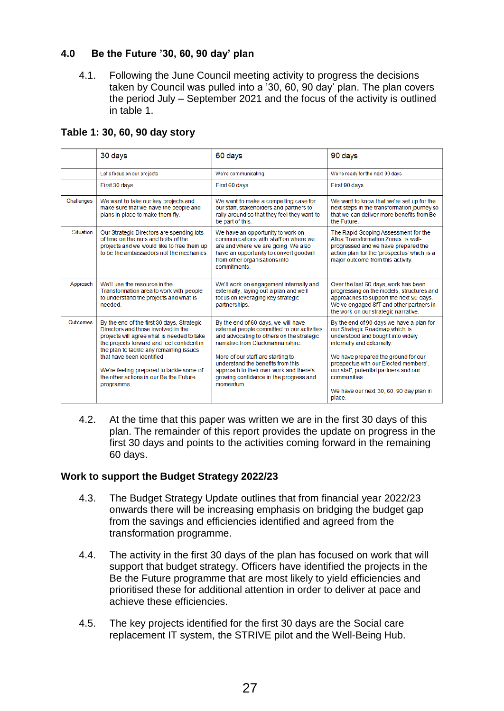# **4.0 Be the Future '30, 60, 90 day' plan**

4.1. Following the June Council meeting activity to progress the decisions taken by Council was pulled into a '30, 60, 90 day' plan. The plan covers the period July – September 2021 and the focus of the activity is outlined in table 1.

|  |  |  | Table 1: 30, 60, 90 day story |  |
|--|--|--|-------------------------------|--|
|  |  |  |                               |  |

|            | 30 days                                                                                                                                                                                                                                                                                                                                      | 60 days                                                                                                                                                                                                                                                                                                                           | 90 days                                                                                                                                                                                                                                                                                |
|------------|----------------------------------------------------------------------------------------------------------------------------------------------------------------------------------------------------------------------------------------------------------------------------------------------------------------------------------------------|-----------------------------------------------------------------------------------------------------------------------------------------------------------------------------------------------------------------------------------------------------------------------------------------------------------------------------------|----------------------------------------------------------------------------------------------------------------------------------------------------------------------------------------------------------------------------------------------------------------------------------------|
|            | Let's focus on our projects                                                                                                                                                                                                                                                                                                                  | We're communicating                                                                                                                                                                                                                                                                                                               | We're ready for the next 90 days                                                                                                                                                                                                                                                       |
|            | First 30 days                                                                                                                                                                                                                                                                                                                                | First 60 days                                                                                                                                                                                                                                                                                                                     | First 90 days                                                                                                                                                                                                                                                                          |
| Challenges | We want to take our key projects and<br>make sure that we have the people and<br>plans in place to make them fly.                                                                                                                                                                                                                            | We want to make a compelling case for<br>our staff, stakeholders and partners to<br>rally around so that they feel they want to<br>be part of this.                                                                                                                                                                               | We want to know that we're set up for the<br>next steps in the transformation journey so<br>that we can deliver more benefits from Be<br>the Future                                                                                                                                    |
| Situation  | Our Strategic Directors are spending lots<br>of time on the nuts and bolts of the<br>projects and we would like to free them up<br>to be the ambassadors not the mechanics.                                                                                                                                                                  | We have an opportunity to work on<br>communications with staff on where we<br>are and where we are going. We also<br>have an opportunity to convert goodwill<br>from other organisations into<br>commitments.                                                                                                                     | The Rapid Scoping Assessment for the<br>Alloa Transformation Zones is well-<br>progressed and we have prepared the<br>action plan for the 'prospectus' which is a<br>major outcome from this activity.                                                                                 |
| Approach   | We'll use the resource in the<br>Transformation area to work with people<br>to understand the projects and what is<br>needed.                                                                                                                                                                                                                | We'll work on engagement internally and<br>externally, laying out a plan and we'll<br>focus on leveraging key strategic<br>partnerships.                                                                                                                                                                                          | Over the last 60 days, work has been<br>progressing on the models, structures and<br>approaches to support the next 90 days.<br>We've engaged SfT and other partners in<br>the work on our strategic narrative.                                                                        |
| Outcomes   | By the end of the first 30 days, Strategic<br>Directors and those involved in the<br>projects will agree what is needed to take<br>the projects forward and feel confident in<br>the plan to tackle any remaining issues<br>that have been identified.<br>We're feeling prepared to tackle some of<br>the other actions in our Be the Future | By the end of 60 days, we will have<br>external people committed to our activities<br>and advocating to others on the strategic<br>narrative from Clackmannanshire.<br>More of our staff are starting to<br>understand the benefits from this<br>approach to their own work and there's<br>growing confidence in the progress and | By the end of 90 days we have a plan for<br>our Strategic Roadmap which is<br>understood and bought into widely<br>internally and externally.<br>We have prepared the ground for our<br>prospectus with our Elected members',<br>our staff, potential partners and our<br>communities. |
|            | programme.                                                                                                                                                                                                                                                                                                                                   | momentum                                                                                                                                                                                                                                                                                                                          | We have our next 30, 60, 90 day plan in<br>place.                                                                                                                                                                                                                                      |

4.2. At the time that this paper was written we are in the first 30 days of this plan. The remainder of this report provides the update on progress in the first 30 days and points to the activities coming forward in the remaining 60 days.

## **Work to support the Budget Strategy 2022/23**

- 4.3. The Budget Strategy Update outlines that from financial year 2022/23 onwards there will be increasing emphasis on bridging the budget gap from the savings and efficiencies identified and agreed from the transformation programme.
- 4.4. The activity in the first 30 days of the plan has focused on work that will support that budget strategy. Officers have identified the projects in the Be the Future programme that are most likely to yield efficiencies and prioritised these for additional attention in order to deliver at pace and achieve these efficiencies.
- 4.5. The key projects identified for the first 30 days are the Social care replacement IT system, the STRIVE pilot and the Well-Being Hub.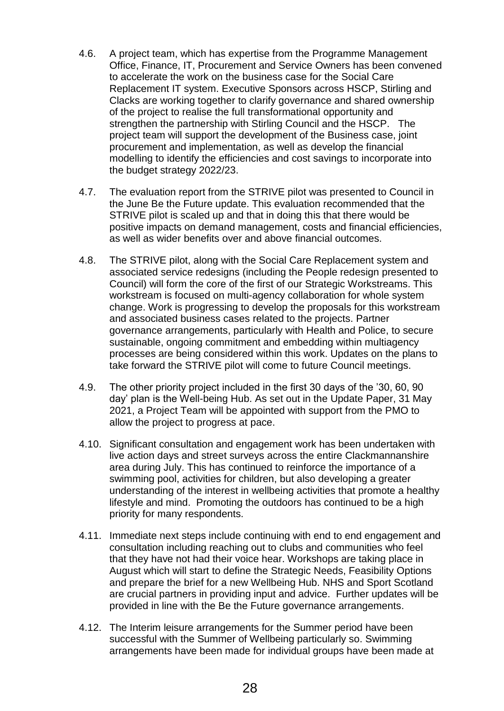- 4.6. A project team, which has expertise from the Programme Management Office, Finance, IT, Procurement and Service Owners has been convened to accelerate the work on the business case for the Social Care Replacement IT system. Executive Sponsors across HSCP, Stirling and Clacks are working together to clarify governance and shared ownership of the project to realise the full transformational opportunity and strengthen the partnership with Stirling Council and the HSCP. The project team will support the development of the Business case, joint procurement and implementation, as well as develop the financial modelling to identify the efficiencies and cost savings to incorporate into the budget strategy 2022/23.
- 4.7. The evaluation report from the STRIVE pilot was presented to Council in the June Be the Future update. This evaluation recommended that the STRIVE pilot is scaled up and that in doing this that there would be positive impacts on demand management, costs and financial efficiencies, as well as wider benefits over and above financial outcomes.
- 4.8. The STRIVE pilot, along with the Social Care Replacement system and associated service redesigns (including the People redesign presented to Council) will form the core of the first of our Strategic Workstreams. This workstream is focused on multi-agency collaboration for whole system change. Work is progressing to develop the proposals for this workstream and associated business cases related to the projects. Partner governance arrangements, particularly with Health and Police, to secure sustainable, ongoing commitment and embedding within multiagency processes are being considered within this work. Updates on the plans to take forward the STRIVE pilot will come to future Council meetings.
- 4.9. The other priority project included in the first 30 days of the '30, 60, 90 day' plan is the Well-being Hub. As set out in the Update Paper, 31 May 2021, a Project Team will be appointed with support from the PMO to allow the project to progress at pace.
- 4.10. Significant consultation and engagement work has been undertaken with live action days and street surveys across the entire Clackmannanshire area during July. This has continued to reinforce the importance of a swimming pool, activities for children, but also developing a greater understanding of the interest in wellbeing activities that promote a healthy lifestyle and mind. Promoting the outdoors has continued to be a high priority for many respondents.
- 4.11. Immediate next steps include continuing with end to end engagement and consultation including reaching out to clubs and communities who feel that they have not had their voice hear. Workshops are taking place in August which will start to define the Strategic Needs, Feasibility Options and prepare the brief for a new Wellbeing Hub. NHS and Sport Scotland are crucial partners in providing input and advice. Further updates will be provided in line with the Be the Future governance arrangements.
- 4.12. The Interim leisure arrangements for the Summer period have been successful with the Summer of Wellbeing particularly so. Swimming arrangements have been made for individual groups have been made at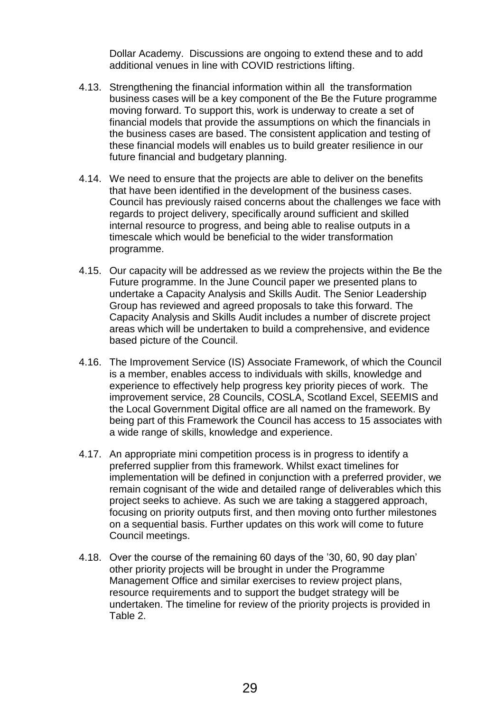Dollar Academy. Discussions are ongoing to extend these and to add additional venues in line with COVID restrictions lifting.

- 4.13. Strengthening the financial information within all the transformation business cases will be a key component of the Be the Future programme moving forward. To support this, work is underway to create a set of financial models that provide the assumptions on which the financials in the business cases are based. The consistent application and testing of these financial models will enables us to build greater resilience in our future financial and budgetary planning.
- 4.14. We need to ensure that the projects are able to deliver on the benefits that have been identified in the development of the business cases. Council has previously raised concerns about the challenges we face with regards to project delivery, specifically around sufficient and skilled internal resource to progress, and being able to realise outputs in a timescale which would be beneficial to the wider transformation programme.
- 4.15. Our capacity will be addressed as we review the projects within the Be the Future programme. In the June Council paper we presented plans to undertake a Capacity Analysis and Skills Audit. The Senior Leadership Group has reviewed and agreed proposals to take this forward. The Capacity Analysis and Skills Audit includes a number of discrete project areas which will be undertaken to build a comprehensive, and evidence based picture of the Council.
- 4.16. The Improvement Service (IS) Associate Framework, of which the Council is a member, enables access to individuals with skills, knowledge and experience to effectively help progress key priority pieces of work. The improvement service, 28 Councils, COSLA, Scotland Excel, SEEMIS and the Local Government Digital office are all named on the framework. By being part of this Framework the Council has access to 15 associates with a wide range of skills, knowledge and experience.
- 4.17. An appropriate mini competition process is in progress to identify a preferred supplier from this framework. Whilst exact timelines for implementation will be defined in conjunction with a preferred provider, we remain cognisant of the wide and detailed range of deliverables which this project seeks to achieve. As such we are taking a staggered approach, focusing on priority outputs first, and then moving onto further milestones on a sequential basis. Further updates on this work will come to future Council meetings.
- 4.18. Over the course of the remaining 60 days of the '30, 60, 90 day plan' other priority projects will be brought in under the Programme Management Office and similar exercises to review project plans, resource requirements and to support the budget strategy will be undertaken. The timeline for review of the priority projects is provided in Table 2.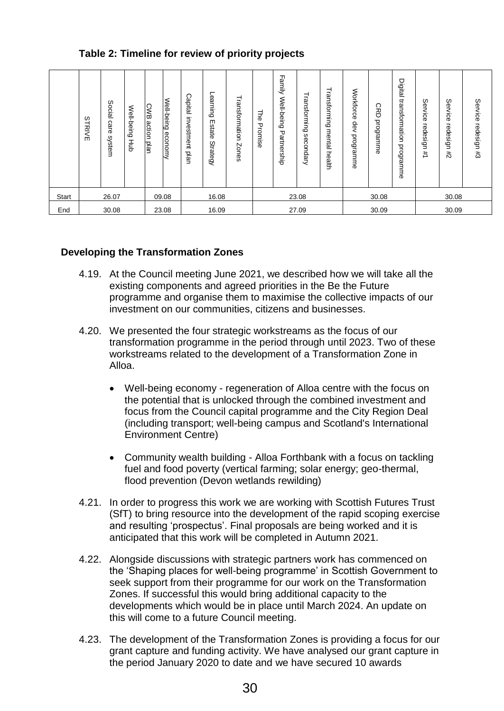# **Table 2: Timeline for review of priority projects**

|       | က<br><b>TRIVE</b> | Social<br>care<br>system | Well-being<br>Happen<br>B | CWB<br>action<br>plan | Well-being<br>economy | Capital<br>investment<br>plan | Learning<br>Estate<br><b>Strategy</b> | Transformation<br>Zones | Ηe<br>Promise | ᆩ<br>smily<br>Well-being<br>᠊ᠣ<br>artnership | Transforming<br>secon<br><b>Alepl</b> | ᅴ<br>ransformi<br>Ξ<br>ه<br>mental<br>health | Workforce<br>dev<br>programme | <b>SPD</b><br>programme | Digital<br>transformation<br>programme | ပ<br>ervice<br>redesign<br># | က<br>ervice<br>redesign<br>#2 | Service<br>redesign #3 |
|-------|-------------------|--------------------------|---------------------------|-----------------------|-----------------------|-------------------------------|---------------------------------------|-------------------------|---------------|----------------------------------------------|---------------------------------------|----------------------------------------------|-------------------------------|-------------------------|----------------------------------------|------------------------------|-------------------------------|------------------------|
| Start | 26.07<br>09.08    |                          |                           | 16.08                 |                       | 23.08                         |                                       | 30.08                   |               | 30.08                                        |                                       |                                              |                               |                         |                                        |                              |                               |                        |
| End   | 30.08<br>23.08    |                          |                           | 16.09                 |                       |                               | 27.09                                 |                         | 30.09         |                                              | 30.09                                 |                                              |                               |                         |                                        |                              |                               |                        |

## **Developing the Transformation Zones**

- 4.19. At the Council meeting June 2021, we described how we will take all the existing components and agreed priorities in the Be the Future programme and organise them to maximise the collective impacts of our investment on our communities, citizens and businesses.
- 4.20. We presented the four strategic workstreams as the focus of our transformation programme in the period through until 2023. Two of these workstreams related to the development of a Transformation Zone in Alloa.
	- Well-being economy regeneration of Alloa centre with the focus on the potential that is unlocked through the combined investment and focus from the Council capital programme and the City Region Deal (including transport; well-being campus and Scotland's International Environment Centre)
	- Community wealth building Alloa Forthbank with a focus on tackling fuel and food poverty (vertical farming; solar energy; geo-thermal, flood prevention (Devon wetlands rewilding)
- 4.21. In order to progress this work we are working with Scottish Futures Trust (SfT) to bring resource into the development of the rapid scoping exercise and resulting 'prospectus'. Final proposals are being worked and it is anticipated that this work will be completed in Autumn 2021.
- 4.22. Alongside discussions with strategic partners work has commenced on the 'Shaping places for well-being programme' in Scottish Government to seek support from their programme for our work on the Transformation Zones. If successful this would bring additional capacity to the developments which would be in place until March 2024. An update on this will come to a future Council meeting.
- 4.23. The development of the Transformation Zones is providing a focus for our grant capture and funding activity. We have analysed our grant capture in the period January 2020 to date and we have secured 10 awards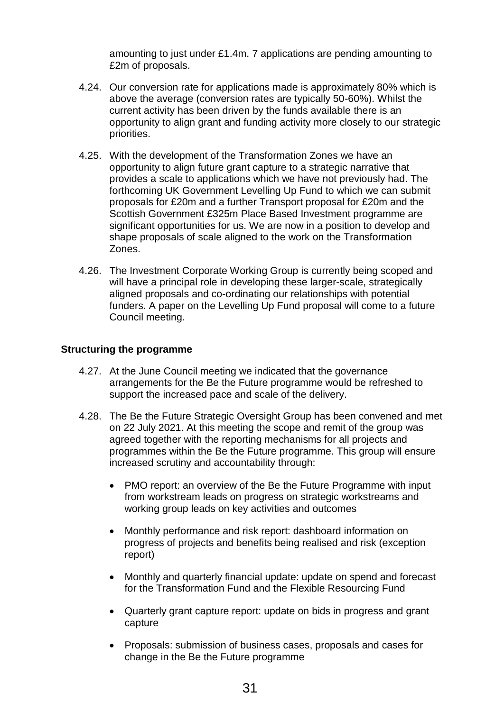amounting to just under £1.4m. 7 applications are pending amounting to £2m of proposals.

- 4.24. Our conversion rate for applications made is approximately 80% which is above the average (conversion rates are typically 50-60%). Whilst the current activity has been driven by the funds available there is an opportunity to align grant and funding activity more closely to our strategic priorities.
- 4.25. With the development of the Transformation Zones we have an opportunity to align future grant capture to a strategic narrative that provides a scale to applications which we have not previously had. The forthcoming UK Government Levelling Up Fund to which we can submit proposals for £20m and a further Transport proposal for £20m and the Scottish Government £325m Place Based Investment programme are significant opportunities for us. We are now in a position to develop and shape proposals of scale aligned to the work on the Transformation Zones.
- 4.26. The Investment Corporate Working Group is currently being scoped and will have a principal role in developing these larger-scale, strategically aligned proposals and co-ordinating our relationships with potential funders. A paper on the Levelling Up Fund proposal will come to a future Council meeting.

# **Structuring the programme**

- 4.27. At the June Council meeting we indicated that the governance arrangements for the Be the Future programme would be refreshed to support the increased pace and scale of the delivery.
- 4.28. The Be the Future Strategic Oversight Group has been convened and met on 22 July 2021. At this meeting the scope and remit of the group was agreed together with the reporting mechanisms for all projects and programmes within the Be the Future programme. This group will ensure increased scrutiny and accountability through:
	- PMO report: an overview of the Be the Future Programme with input from workstream leads on progress on strategic workstreams and working group leads on key activities and outcomes
	- Monthly performance and risk report: dashboard information on progress of projects and benefits being realised and risk (exception report)
	- Monthly and quarterly financial update: update on spend and forecast for the Transformation Fund and the Flexible Resourcing Fund
	- Quarterly grant capture report: update on bids in progress and grant capture
	- Proposals: submission of business cases, proposals and cases for change in the Be the Future programme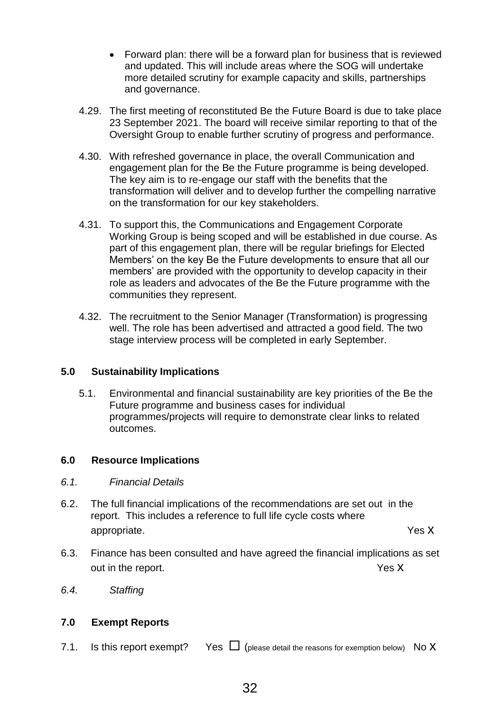- Forward plan: there will be a forward plan for business that is reviewed and updated. This will include areas where the SOG will undertake more detailed scrutiny for example capacity and skills, partnerships and governance.
- 4.29. The first meeting of reconstituted Be the Future Board is due to take place 23 September 2021. The board will receive similar reporting to that of the Oversight Group to enable further scrutiny of progress and performance.
- 4.30. With refreshed governance in place, the overall Communication and engagement plan for the Be the Future programme is being developed. The key aim is to re-engage our staff with the benefits that the transformation will deliver and to develop further the compelling narrative on the transformation for our key stakeholders.
- 4.31. To support this, the Communications and Engagement Corporate Working Group is being scoped and will be established in due course. As part of this engagement plan, there will be regular briefings for Elected Members' on the key Be the Future developments to ensure that all our members' are provided with the opportunity to develop capacity in their role as leaders and advocates of the Be the Future programme with the communities they represent.
- 4.32. The recruitment to the Senior Manager (Transformation) is progressing well. The role has been advertised and attracted a good field. The two stage interview process will be completed in early September.

# **5.0 Sustainability Implications**

5.1. Environmental and financial sustainability are key priorities of the Be the Future programme and business cases for individual programmes/projects will require to demonstrate clear links to related outcomes.

## **6.0 Resource Implications**

- *6.1. Financial Details*
- 6.2. The full financial implications of the recommendations are set out in the report. This includes a reference to full life cycle costs where appropriate. Yes X
- 6.3. Finance has been consulted and have agreed the financial implications as set out in the report. Yes X
- *6.4. Staffing*

## **7.0 Exempt Reports**

7.1. Is this report exempt? Yes  $\Box$  (please detail the reasons for exemption below) No X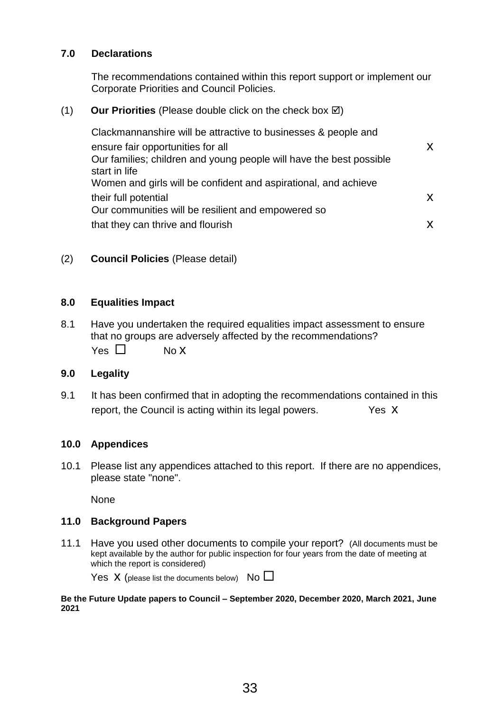# **7.0 Declarations**

The recommendations contained within this report support or implement our Corporate Priorities and Council Policies.

## $(1)$  **Our Priorities** (Please double click on the check box  $\boxtimes$ )

Clackmannanshire will be attractive to businesses & people and ensure fair opportunities for all **x** x Our families; children and young people will have the best possible start in life Women and girls will be confident and aspirational, and achieve their full potential x x Our communities will be resilient and empowered so that they can thrive and flourish x  $\mathsf X$ 

# (2) **Council Policies** (Please detail)

#### **8.0 Equalities Impact**

8.1 Have you undertaken the required equalities impact assessment to ensure that no groups are adversely affected by the recommendations?  $Yes \Box$  No X

## **9.0 Legality**

9.1 It has been confirmed that in adopting the recommendations contained in this report, the Council is acting within its legal powers. Yes X

#### **10.0 Appendices**

10.1 Please list any appendices attached to this report. If there are no appendices, please state "none".

None

## **11.0 Background Papers**

11.1 Have you used other documents to compile your report? (All documents must be kept available by the author for public inspection for four years from the date of meeting at which the report is considered)

Yes  $X$  (please list the documents below) No  $\square$ 

**Be the Future Update papers to Council – September 2020, December 2020, March 2021, June 2021**